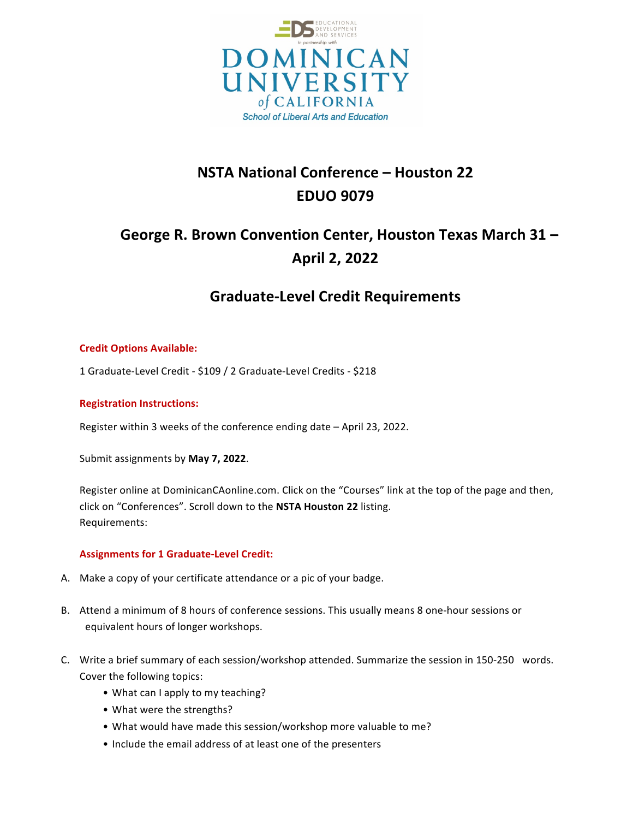

# **NSTA National Conference – Houston 22 EDUO 9079**

# George R. Brown Convention Center, Houston Texas March 31 -**April 2, 2022**

# **Graduate-Level Credit Requirements**

#### **Credit Options Available:**

1 Graduate-Level Credit - \$109 / 2 Graduate-Level Credits - \$218

#### **Registration Instructions:**

Register within 3 weeks of the conference ending date - April 23, 2022.

Submit assignments by May 7, 2022.

Register online at DominicanCAonline.com. Click on the "Courses" link at the top of the page and then, click on "Conferences". Scroll down to the NSTA Houston 22 listing. Requirements: 

#### **Assignments for 1 Graduate-Level Credit:**

- A. Make a copy of your certificate attendance or a pic of your badge.
- B. Attend a minimum of 8 hours of conference sessions. This usually means 8 one-hour sessions or equivalent hours of longer workshops.
- C. Write a brief summary of each session/workshop attended. Summarize the session in 150-250 words. Cover the following topics:
	- What can I apply to my teaching?
	- What were the strengths?
	- What would have made this session/workshop more valuable to me?
	- Include the email address of at least one of the presenters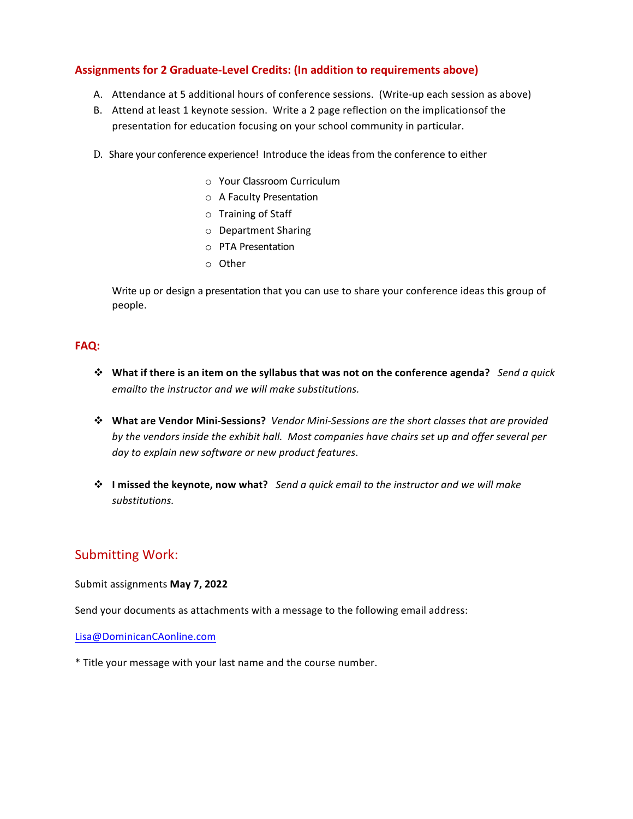#### Assignments for 2 Graduate-Level Credits: (In addition to requirements above)

- A. Attendance at 5 additional hours of conference sessions. (Write-up each session as above)
- B. Attend at least 1 keynote session. Write a 2 page reflection on the implicationsof the presentation for education focusing on your school community in particular.
- D. Share your conference experience! Introduce the ideas from the conference to either
	- o Your Classroom Curriculum
	- o A Faculty Presentation
	- o Training of Staff
	- o Department Sharing
	- o PTA Presentation
	- o Other

Write up or design a presentation that you can use to share your conference ideas this group of people. 

#### **FAQ:**

- $\diamond$  What if there is an item on the syllabus that was not on the conference agenda? Send a quick emailto the instructor and we will make substitutions.
- \* What are Vendor Mini-Sessions? Vendor Mini-Sessions are the short classes that are provided by the vendors inside the exhibit hall. Most companies have chairs set up and offer several per day to explain new software or new product features.
- $\diamond$  **I** missed the keynote, now what? Send a quick email to the instructor and we will make *substitutions.*

## Submitting Work:

Submit assignments May 7, 2022

Send your documents as attachments with a message to the following email address:

Lisa@DominicanCAonline.com

\* Title your message with your last name and the course number.